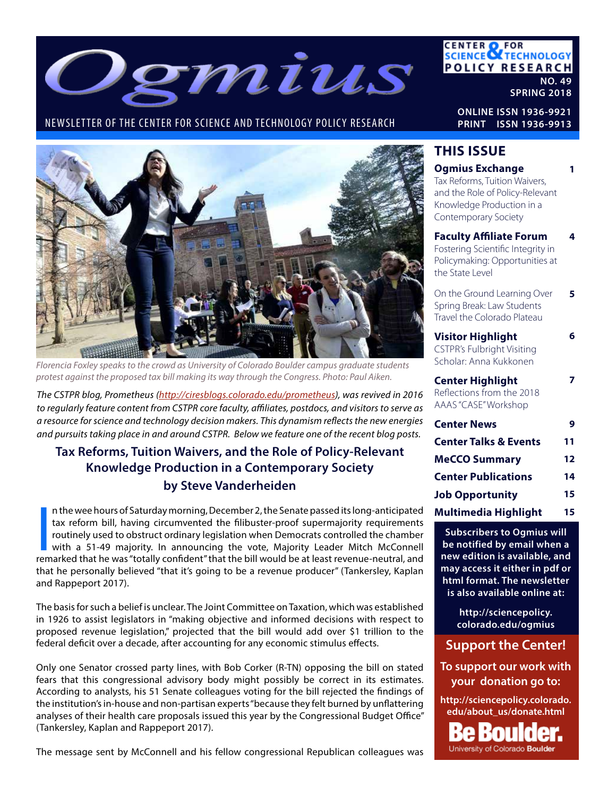

### NEWSLETTER OF THE CENTER FOR SCIENCE AND TECHNOLOGY POLICY RESEARCH



*Florencia Foxley speaks to the crowd as University of Colorado Boulder campus graduate students protest against the proposed tax bill making its way through the Congress. Photo: Paul Aiken.*

*The CSTPR blog, Prometheus (http://ciresblogs.colorado.edu/prometheus), was revived in 2016 to regularly feature content from CSTPR core faculty, affiliates, postdocs, and visitors to serve as a resource for science and technology decision makers. This dynamism reflects the new energies and pursuits taking place in and around CSTPR. Below we feature one of the recent blog posts.* 

### **Tax Reforms, Tuition Waivers, and the Role of Policy-Relevant Knowledge Production in a Contemporary Society by Steve Vanderheiden**

In the wee hours of Saturday morning, December 2, the Senate passed its long-anticipated<br>tax reform bill, having circumvented the filibuster-proof supermajority requirements<br>routinely used to obstruct ordinary legislation n the wee hours of Saturday morning, December 2, the Senate passed its long-anticipated tax reform bill, having circumvented the filibuster-proof supermajority requirements routinely used to obstruct ordinary legislation when Democrats controlled the chamber with a 51-49 majority. In announcing the vote, Majority Leader Mitch McConnell that he personally believed "that it's going to be a revenue producer" (Tankersley, Kaplan and Rappeport 2017).

The basis for such a belief is unclear. The Joint Committee on Taxation, which was established in 1926 to assist legislators in "making objective and informed decisions with respect to proposed revenue legislation," projected that the bill would add over \$1 trillion to the federal deficit over a decade, after accounting for any economic stimulus effects.

Only one Senator crossed party lines, with Bob Corker (R-TN) opposing the bill on stated fears that this congressional advisory body might possibly be correct in its estimates. According to analysts, his 51 Senate colleagues voting for the bill rejected the findings of the institution's in-house and non-partisan experts "because they felt burned by unflattering analyses of their health care proposals issued this year by the Congressional Budget Office" (Tankersley, Kaplan and Rappeport 2017).

The message sent by McConnell and his fellow congressional Republican colleagues was

### **CENTER OF FOR<br>SCIENCE OF TECHNOLOGY POLICY RESEARCH NO. 49**

**SPRING 2018**

**4**

**6**

**7**

**ONLINE ISSN 1936-9921 PRINT ISSN 1936-9913**

### **THIS ISSUE**

#### **1 Ogmius Exchange** Tax Reforms, Tuition Waivers,

and the Role of Policy-Relevant Knowledge Production in a Contemporary Society

**Faculty Affiliate Forum** Fostering Scientific Integrity in Policymaking: Opportunities at the State Level

**5** On the Ground Learning Over Spring Break: Law Students Travel the Colorado Plateau

**Visitor Highlight** CSTPR's Fulbright Visiting Scholar: Anna Kukkonen

**Center Highlight** Reflections from the 2018 AAAS "CASE" Workshop

| <b>Center News</b>               | 9  |
|----------------------------------|----|
| <b>Center Talks &amp; Events</b> | 11 |
| <b>MeCCO Summary</b>             | 12 |
| <b>Center Publications</b>       | 14 |
| <b>Job Opportunity</b>           | 15 |
| <b>Multimedia Highlight</b>      | 15 |

**Subscribers to Ogmius will be notified by email when a new edition is available, and may access it either in pdf or html format. The newsletter is also available online at:**

> **http://sciencepolicy. colorado.edu/ogmius**

### **Support the Center!**

**To support our work with your donation go to:**

**http://sciencepolicy.colorado. edu/about\_us/donate.html**

Bould University of Colorado Boulder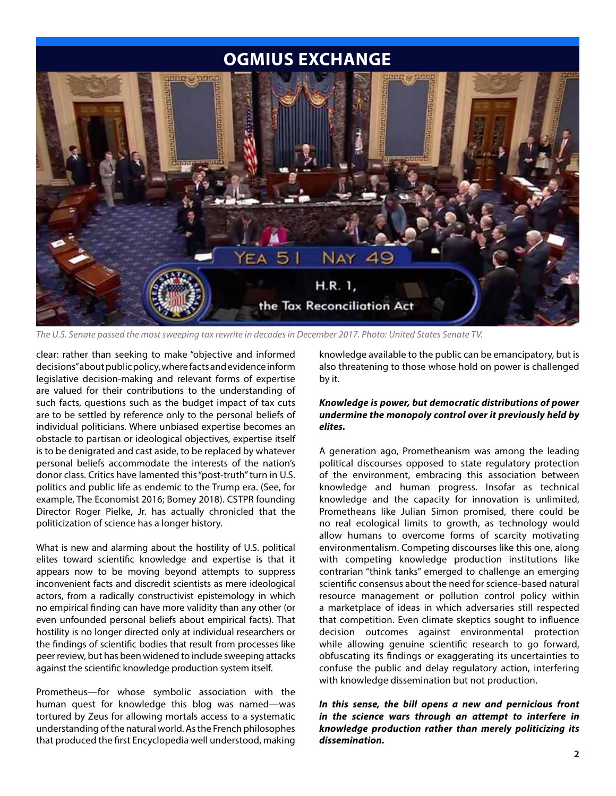### **OGMIUS EXCHANGE**



*The U.S. Senate passed the most sweeping tax rewrite in decades in December 2017. Photo: United States Senate TV.*

clear: rather than seeking to make "objective and informed decisions" about public policy, where facts and evidence inform legislative decision-making and relevant forms of expertise are valued for their contributions to the understanding of such facts, questions such as the budget impact of tax cuts are to be settled by reference only to the personal beliefs of individual politicians. Where unbiased expertise becomes an obstacle to partisan or ideological objectives, expertise itself is to be denigrated and cast aside, to be replaced by whatever personal beliefs accommodate the interests of the nation's donor class. Critics have lamented this "post-truth" turn in U.S. politics and public life as endemic to the Trump era. (See, for example, The Economist 2016; Bomey 2018). CSTPR founding Director Roger Pielke, Jr. has actually chronicled that the politicization of science has a longer history.

What is new and alarming about the hostility of U.S. political elites toward scientific knowledge and expertise is that it appears now to be moving beyond attempts to suppress inconvenient facts and discredit scientists as mere ideological actors, from a radically constructivist epistemology in which no empirical finding can have more validity than any other (or even unfounded personal beliefs about empirical facts). That hostility is no longer directed only at individual researchers or the findings of scientific bodies that result from processes like peer review, but has been widened to include sweeping attacks against the scientific knowledge production system itself.

Prometheus—for whose symbolic association with the human quest for knowledge this blog was named—was tortured by Zeus for allowing mortals access to a systematic understanding of the natural world. As the French philosophes that produced the first Encyclopedia well understood, making knowledge available to the public can be emancipatory, but is also threatening to those whose hold on power is challenged by it.

#### *Knowledge is power, but democratic distributions of power undermine the monopoly control over it previously held by elites.*

A generation ago, Prometheanism was among the leading political discourses opposed to state regulatory protection of the environment, embracing this association between knowledge and human progress. Insofar as technical knowledge and the capacity for innovation is unlimited, Prometheans like Julian Simon promised, there could be no real ecological limits to growth, as technology would allow humans to overcome forms of scarcity motivating environmentalism. Competing discourses like this one, along with competing knowledge production institutions like contrarian "think tanks" emerged to challenge an emerging scientific consensus about the need for science-based natural resource management or pollution control policy within a marketplace of ideas in which adversaries still respected that competition. Even climate skeptics sought to influence decision outcomes against environmental protection while allowing genuine scientific research to go forward, obfuscating its findings or exaggerating its uncertainties to confuse the public and delay regulatory action, interfering with knowledge dissemination but not production.

*In this sense, the bill opens a new and pernicious front in the science wars through an attempt to interfere in knowledge production rather than merely politicizing its dissemination.*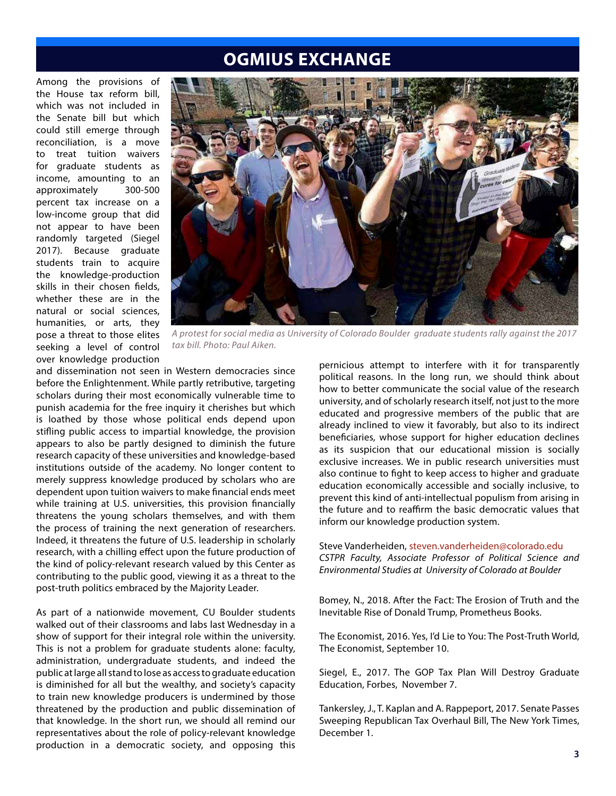### **OGMIUS EXCHANGE**

Among the provisions of the House tax reform bill, which was not included in the Senate bill but which could still emerge through reconciliation, is a move to treat tuition waivers for graduate students as income, amounting to an approximately 300-500 percent tax increase on a low-income group that did not appear to have been randomly targeted (Siegel 2017). Because graduate students train to acquire the knowledge-production skills in their chosen fields, whether these are in the natural or social sciences, humanities, or arts, they pose a threat to those elites seeking a level of control over knowledge production



*A protest for social media as University of Colorado Boulder graduate students rally against the 2017 tax bill. Photo: Paul Aiken.*

and dissemination not seen in Western democracies since before the Enlightenment. While partly retributive, targeting scholars during their most economically vulnerable time to punish academia for the free inquiry it cherishes but which is loathed by those whose political ends depend upon stifling public access to impartial knowledge, the provision appears to also be partly designed to diminish the future research capacity of these universities and knowledge-based institutions outside of the academy. No longer content to merely suppress knowledge produced by scholars who are dependent upon tuition waivers to make financial ends meet while training at U.S. universities, this provision financially threatens the young scholars themselves, and with them the process of training the next generation of researchers. Indeed, it threatens the future of U.S. leadership in scholarly research, with a chilling effect upon the future production of the kind of policy-relevant research valued by this Center as contributing to the public good, viewing it as a threat to the post-truth politics embraced by the Majority Leader.

As part of a nationwide movement, CU Boulder students walked out of their classrooms and labs last Wednesday in a show of support for their integral role within the university. This is not a problem for graduate students alone: faculty, administration, undergraduate students, and indeed the public at large all stand to lose as access to graduate education is diminished for all but the wealthy, and society's capacity to train new knowledge producers is undermined by those threatened by the production and public dissemination of that knowledge. In the short run, we should all remind our representatives about the role of policy-relevant knowledge production in a democratic society, and opposing this

pernicious attempt to interfere with it for transparently political reasons. In the long run, we should think about how to better communicate the social value of the research university, and of scholarly research itself, not just to the more educated and progressive members of the public that are already inclined to view it favorably, but also to its indirect beneficiaries, whose support for higher education declines as its suspicion that our educational mission is socially exclusive increases. We in public research universities must also continue to fight to keep access to higher and graduate education economically accessible and socially inclusive, to prevent this kind of anti-intellectual populism from arising in the future and to reaffirm the basic democratic values that inform our knowledge production system.

#### Steve Vanderheiden, steven.vanderheiden@colorado.edu *CSTPR Faculty, Associate Professor of Political Science and Environmental Studies at University of Colorado at Boulder*

Bomey, N., 2018. After the Fact: The Erosion of Truth and the Inevitable Rise of Donald Trump, Prometheus Books.

The Economist, 2016. Yes, I'd Lie to You: The Post-Truth World, The Economist, September 10.

Siegel, E., 2017. The GOP Tax Plan Will Destroy Graduate Education, Forbes, November 7.

Tankersley, J., T. Kaplan and A. Rappeport, 2017. Senate Passes Sweeping Republican Tax Overhaul Bill, The New York Times, December 1.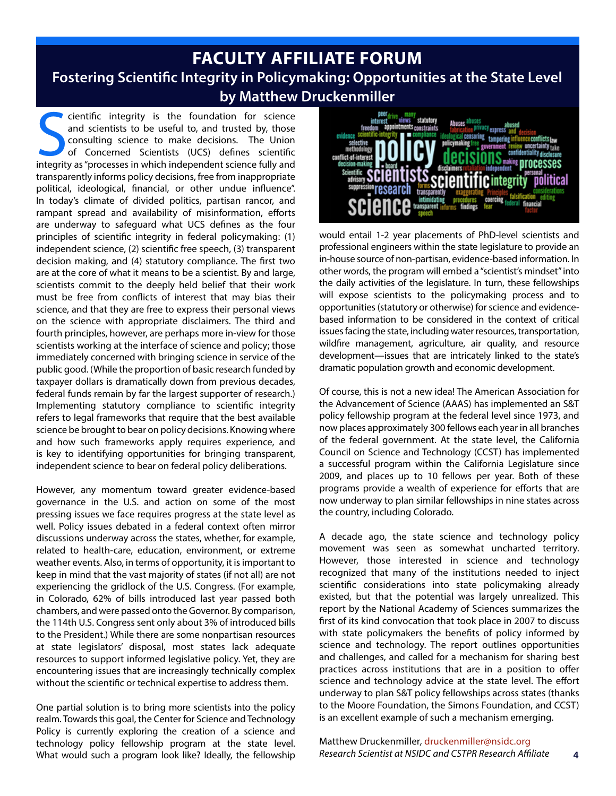## **FACULTY AFFILIATE FORUM Fostering Scientific Integrity in Policymaking: Opportunities at the State Level by Matthew Druckenmiller**

cientific integrity is the foundation for science<br>and scientists to be useful to, and trusted by, those<br>consulting science to make decisions. The Union<br>of Concerned Scientists (UCS) defines scientific<br>integrity as "process cientific integrity is the foundation for science and scientists to be useful to, and trusted by, those consulting science to make decisions. The Union of Concerned Scientists (UCS) defines scientific transparently informs policy decisions, free from inappropriate political, ideological, financial, or other undue influence". In today's climate of divided politics, partisan rancor, and rampant spread and availability of misinformation, efforts are underway to safeguard what UCS defines as the four principles of scientific integrity in federal policymaking: (1) independent science, (2) scientific free speech, (3) transparent decision making, and (4) statutory compliance. The first two are at the core of what it means to be a scientist. By and large, scientists commit to the deeply held belief that their work must be free from conflicts of interest that may bias their science, and that they are free to express their personal views on the science with appropriate disclaimers. The third and fourth principles, however, are perhaps more in-view for those scientists working at the interface of science and policy; those immediately concerned with bringing science in service of the public good. (While the proportion of basic research funded by taxpayer dollars is dramatically down from previous decades, federal funds remain by far the largest supporter of research.) Implementing statutory compliance to scientific integrity refers to legal frameworks that require that the best available science be brought to bear on policy decisions. Knowing where and how such frameworks apply requires experience, and is key to identifying opportunities for bringing transparent, independent science to bear on federal policy deliberations.

However, any momentum toward greater evidence-based governance in the U.S. and action on some of the most pressing issues we face requires progress at the state level as well. Policy issues debated in a federal context often mirror discussions underway across the states, whether, for example, related to health-care, education, environment, or extreme weather events. Also, in terms of opportunity, it is important to keep in mind that the vast majority of states (if not all) are not experiencing the gridlock of the U.S. Congress. (For example, in Colorado, 62% of bills introduced last year passed both chambers, and were passed onto the Governor. By comparison, the 114th U.S. Congress sent only about 3% of introduced bills to the President.) While there are some nonpartisan resources at state legislators' disposal, most states lack adequate resources to support informed legislative policy. Yet, they are encountering issues that are increasingly technically complex without the scientific or technical expertise to address them.

One partial solution is to bring more scientists into the policy realm. Towards this goal, the Center for Science and Technology Policy is currently exploring the creation of a science and technology policy fellowship program at the state level. What would such a program look like? Ideally, the fellowship



would entail 1-2 year placements of PhD-level scientists and professional engineers within the state legislature to provide an in-house source of non-partisan, evidence-based information. In other words, the program will embed a "scientist's mindset" into the daily activities of the legislature. In turn, these fellowships will expose scientists to the policymaking process and to opportunities (statutory or otherwise) for science and evidencebased information to be considered in the context of critical issues facing the state, including water resources, transportation, wildfire management, agriculture, air quality, and resource development—issues that are intricately linked to the state's dramatic population growth and economic development.

Of course, this is not a new idea! The American Association for the Advancement of Science (AAAS) has implemented an S&T policy fellowship program at the federal level since 1973, and now places approximately 300 fellows each year in all branches of the federal government. At the state level, the California Council on Science and Technology (CCST) has implemented a successful program within the California Legislature since 2009, and places up to 10 fellows per year. Both of these programs provide a wealth of experience for efforts that are now underway to plan similar fellowships in nine states across the country, including Colorado.

A decade ago, the state science and technology policy movement was seen as somewhat uncharted territory. However, those interested in science and technology recognized that many of the institutions needed to inject scientific considerations into state policymaking already existed, but that the potential was largely unrealized. This report by the National Academy of Sciences summarizes the first of its kind convocation that took place in 2007 to discuss with state policymakers the benefits of policy informed by science and technology. The report outlines opportunities and challenges, and called for a mechanism for sharing best practices across institutions that are in a position to offer science and technology advice at the state level. The effort underway to plan S&T policy fellowships across states (thanks to the Moore Foundation, the Simons Foundation, and CCST) is an excellent example of such a mechanism emerging.

**4** Matthew Druckenmiller*,* druckenmiller@nsidc.org *Research Scientist at NSIDC and CSTPR Research Affiliate*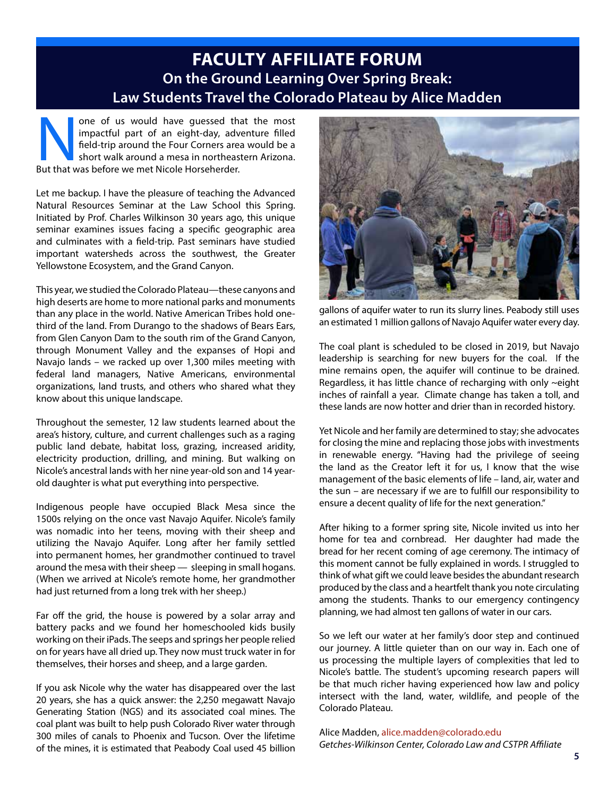## **FACULTY AFFILIATE FORUM On the Ground Learning Over Spring Break: Law Students Travel the Colorado Plateau by Alice Madden**

none of us would have guessed that the most<br>impactful part of an eight-day, adventure filled<br>field-trip around the Four Corners area would be a<br>short walk around a mesa in northeastern Arizona.<br>But that was before we met N impactful part of an eight-day, adventure filled field-trip around the Four Corners area would be a short walk around a mesa in northeastern Arizona. But that was before we met Nicole Horseherder.

Let me backup. I have the pleasure of teaching the Advanced Natural Resources Seminar at the Law School this Spring. Initiated by Prof. Charles Wilkinson 30 years ago, this unique seminar examines issues facing a specific geographic area and culminates with a field-trip. Past seminars have studied important watersheds across the southwest, the Greater Yellowstone Ecosystem, and the Grand Canyon.

This year, we studied the Colorado Plateau—these canyons and high deserts are home to more national parks and monuments than any place in the world. Native American Tribes hold onethird of the land. From Durango to the shadows of Bears Ears, from Glen Canyon Dam to the south rim of the Grand Canyon, through Monument Valley and the expanses of Hopi and Navajo lands – we racked up over 1,300 miles meeting with federal land managers, Native Americans, environmental organizations, land trusts, and others who shared what they know about this unique landscape.

Throughout the semester, 12 law students learned about the area's history, culture, and current challenges such as a raging public land debate, habitat loss, grazing, increased aridity, electricity production, drilling, and mining. But walking on Nicole's ancestral lands with her nine year-old son and 14 yearold daughter is what put everything into perspective.

Indigenous people have occupied Black Mesa since the 1500s relying on the once vast Navajo Aquifer. Nicole's family was nomadic into her teens, moving with their sheep and utilizing the Navajo Aquifer. Long after her family settled into permanent homes, her grandmother continued to travel around the mesa with their sheep — sleeping in small hogans. (When we arrived at Nicole's remote home, her grandmother had just returned from a long trek with her sheep.)

Far off the grid, the house is powered by a solar array and battery packs and we found her homeschooled kids busily working on their iPads. The seeps and springs her people relied on for years have all dried up. They now must truck water in for themselves, their horses and sheep, and a large garden.

If you ask Nicole why the water has disappeared over the last 20 years, she has a quick answer: the 2,250 megawatt Navajo Generating Station (NGS) and its associated coal mines. The coal plant was built to help push Colorado River water through 300 miles of canals to Phoenix and Tucson. Over the lifetime of the mines, it is estimated that Peabody Coal used 45 billion



gallons of aquifer water to run its slurry lines. Peabody still uses an estimated 1 million gallons of Navajo Aquifer water every day.

The coal plant is scheduled to be closed in 2019, but Navajo leadership is searching for new buyers for the coal. If the mine remains open, the aquifer will continue to be drained. Regardless, it has little chance of recharging with only ~eight inches of rainfall a year. Climate change has taken a toll, and these lands are now hotter and drier than in recorded history.

Yet Nicole and her family are determined to stay; she advocates for closing the mine and replacing those jobs with investments in renewable energy. "Having had the privilege of seeing the land as the Creator left it for us, I know that the wise management of the basic elements of life – land, air, water and the sun – are necessary if we are to fulfill our responsibility to ensure a decent quality of life for the next generation."

After hiking to a former spring site, Nicole invited us into her home for tea and cornbread. Her daughter had made the bread for her recent coming of age ceremony. The intimacy of this moment cannot be fully explained in words. I struggled to think of what gift we could leave besides the abundant research produced by the class and a heartfelt thank you note circulating among the students. Thanks to our emergency contingency planning, we had almost ten gallons of water in our cars.

So we left our water at her family's door step and continued our journey. A little quieter than on our way in. Each one of us processing the multiple layers of complexities that led to Nicole's battle. The student's upcoming research papers will be that much richer having experienced how law and policy intersect with the land, water, wildlife, and people of the Colorado Plateau.

Alice Madden, alice.madden@colorado.edu *Getches-Wilkinson Center, Colorado Law and CSTPR Affiliate*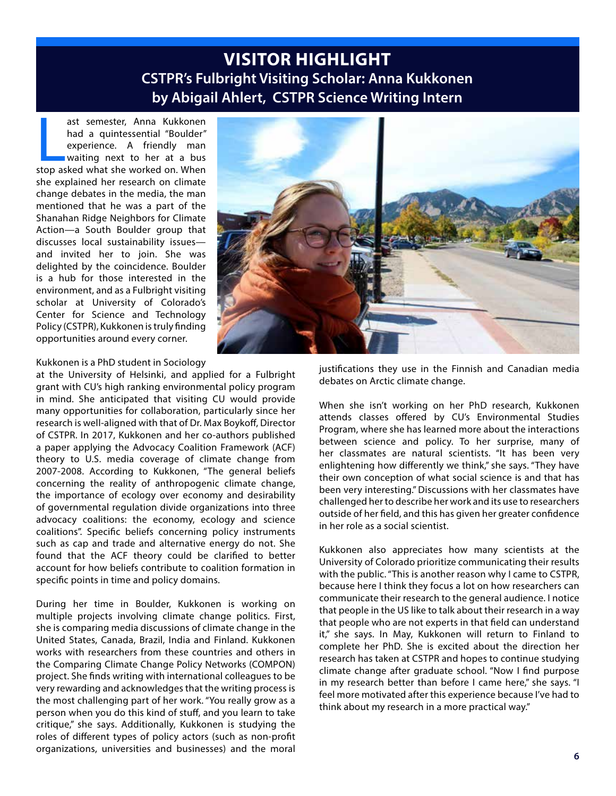### **VISITOR HIGHLIGHT CSTPR's Fulbright Visiting Scholar: Anna Kukkonen by Abigail Ahlert, CSTPR Science Writing Intern**

ast semester, Anna Kukkonen<br>had a quintessential "Boulder"<br>experience. A friendly man<br>waiting next to her at a bus<br>stop asked what she worked on. When ast semester, Anna Kukkonen had a quintessential "Boulder" experience. A friendly man waiting next to her at a bus she explained her research on climate change debates in the media, the man mentioned that he was a part of the Shanahan Ridge Neighbors for Climate Action—a South Boulder group that discusses local sustainability issues and invited her to join. She was delighted by the coincidence. Boulder is a hub for those interested in the environment, and as a Fulbright visiting scholar at University of Colorado's Center for Science and Technology Policy (CSTPR), Kukkonen is truly finding opportunities around every corner.



Kukkonen is a PhD student in Sociology

at the University of Helsinki, and applied for a Fulbright grant with CU's high ranking environmental policy program in mind. She anticipated that visiting CU would provide many opportunities for collaboration, particularly since her research is well-aligned with that of Dr. Max Boykoff, Director of CSTPR. In 2017, Kukkonen and her co-authors published a paper applying the Advocacy Coalition Framework (ACF) theory to U.S. media coverage of climate change from 2007-2008. According to Kukkonen, "The general beliefs concerning the reality of anthropogenic climate change, the importance of ecology over economy and desirability of governmental regulation divide organizations into three advocacy coalitions: the economy, ecology and science coalitions". Specific beliefs concerning policy instruments such as cap and trade and alternative energy do not. She found that the ACF theory could be clarified to better account for how beliefs contribute to coalition formation in specific points in time and policy domains.

During her time in Boulder, Kukkonen is working on multiple projects involving climate change politics. First, she is comparing media discussions of climate change in the United States, Canada, Brazil, India and Finland. Kukkonen works with researchers from these countries and others in the Comparing Climate Change Policy Networks (COMPON) project. She finds writing with international colleagues to be very rewarding and acknowledges that the writing process is the most challenging part of her work. "You really grow as a person when you do this kind of stuff, and you learn to take critique," she says. Additionally, Kukkonen is studying the roles of different types of policy actors (such as non-profit organizations, universities and businesses) and the moral

justifications they use in the Finnish and Canadian media debates on Arctic climate change.

When she isn't working on her PhD research, Kukkonen attends classes offered by CU's Environmental Studies Program, where she has learned more about the interactions between science and policy. To her surprise, many of her classmates are natural scientists. "It has been very enlightening how differently we think," she says. "They have their own conception of what social science is and that has been very interesting." Discussions with her classmates have challenged her to describe her work and its use to researchers outside of her field, and this has given her greater confidence in her role as a social scientist.

Kukkonen also appreciates how many scientists at the University of Colorado prioritize communicating their results with the public. "This is another reason why I came to CSTPR, because here I think they focus a lot on how researchers can communicate their research to the general audience. I notice that people in the US like to talk about their research in a way that people who are not experts in that field can understand it," she says. In May, Kukkonen will return to Finland to complete her PhD. She is excited about the direction her research has taken at CSTPR and hopes to continue studying climate change after graduate school. "Now I find purpose in my research better than before I came here," she says. "I feel more motivated after this experience because I've had to think about my research in a more practical way."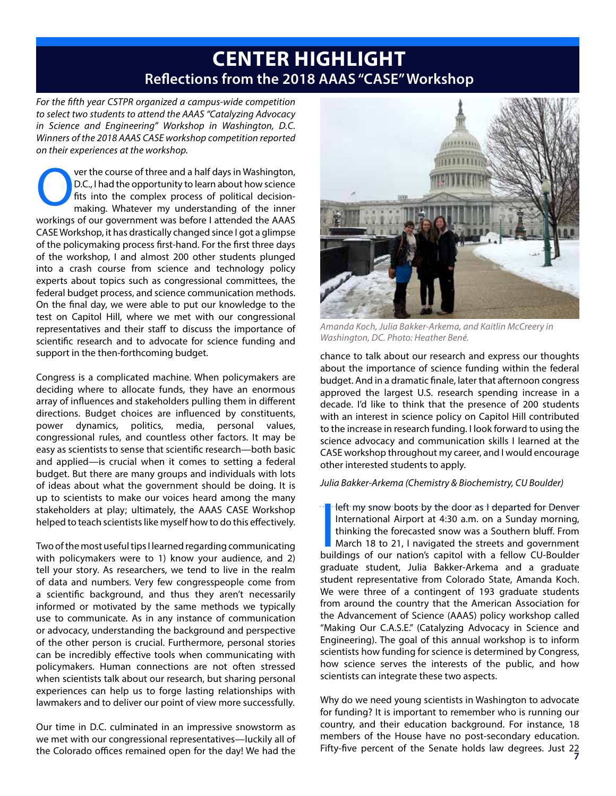## **CENTER HIGHLIGHT Reflections from the 2018 AAAS "CASE" Workshop**

*For the fifth year CSTPR organized a campus-wide competition to select two students to attend the AAAS "Catalyzing Advocacy in Science and Engineering" Workshop in Washington, D.C. Winners of the 2018 AAAS CASE workshop competition reported on their experiences at the workshop.*

Ver the course of three and a half days in Washington, D.C., I had the opportunity to learn about how science fits into the complex process of political decision-<br>making. Whatever my understanding of the inner D.C., I had the opportunity to learn about how science fits into the complex process of political decisionworkings of our government was before I attended the AAAS CASE Workshop, it has drastically changed since I got a glimpse of the policymaking process first-hand. For the first three days of the workshop, I and almost 200 other students plunged into a crash course from science and technology policy experts about topics such as congressional committees, the federal budget process, and science communication methods. On the final day, we were able to put our knowledge to the test on Capitol Hill, where we met with our congressional representatives and their staff to discuss the importance of scientific research and to advocate for science funding and support in the then-forthcoming budget.

Congress is a complicated machine. When policymakers are deciding where to allocate funds, they have an enormous array of influences and stakeholders pulling them in different directions. Budget choices are influenced by constituents, power dynamics, politics, media, personal values, congressional rules, and countless other factors. It may be easy as scientists to sense that scientific research—both basic and applied—is crucial when it comes to setting a federal budget. But there are many groups and individuals with lots of ideas about what the government should be doing. It is up to scientists to make our voices heard among the many stakeholders at play; ultimately, the AAAS CASE Workshop helped to teach scientists like myself how to do this effectively.

Two of the most useful tips I learned regarding communicating with policymakers were to 1) know your audience, and 2) tell your story. As researchers, we tend to live in the realm of data and numbers. Very few congresspeople come from a scientific background, and thus they aren't necessarily informed or motivated by the same methods we typically use to communicate. As in any instance of communication or advocacy, understanding the background and perspective of the other person is crucial. Furthermore, personal stories can be incredibly effective tools when communicating with policymakers. Human connections are not often stressed when scientists talk about our research, but sharing personal experiences can help us to forge lasting relationships with lawmakers and to deliver our point of view more successfully.

Our time in D.C. culminated in an impressive snowstorm as we met with our congressional representatives—luckily all of the Colorado offices remained open for the day! We had the



*Amanda Koch, Julia Bakker-Arkema, and Kaitlin McCreery in Washington, DC. Photo: Heather Bené.*

chance to talk about our research and express our thoughts about the importance of science funding within the federal budget. And in a dramatic finale, later that afternoon congress approved the largest U.S. research spending increase in a decade. I'd like to think that the presence of 200 students with an interest in science policy on Capitol Hill contributed to the increase in research funding. I look forward to using the science advocacy and communication skills I learned at the CASE workshop throughout my career, and I would encourage other interested students to apply.

*Julia Bakker-Arkema (Chemistry & Biochemistry, CU Boulder)*

I left my snow boots by the door as I departed for Denver<br>International Airport at 4:30 a.m. on a Sunday morning,<br>thinking the forecasted snow was a Southern bluff. From<br>March 18 to 21, I navigated the streets and governme left my snow boots by the door as I departed for Denver International Airport at 4:30 a.m. on a Sunday morning, thinking the forecasted snow was a Southern bluff. From March 18 to 21, I navigated the streets and government graduate student, Julia Bakker-Arkema and a graduate student representative from Colorado State, Amanda Koch. We were three of a contingent of 193 graduate students from around the country that the American Association for the Advancement of Science (AAAS) policy workshop called "Making Our C.A.S.E." (Catalyzing Advocacy in Science and Engineering). The goal of this annual workshop is to inform scientists how funding for science is determined by Congress, how science serves the interests of the public, and how scientists can integrate these two aspects.

**7** Fifty-five percent of the Senate holds law degrees. Just 22 Why do we need young scientists in Washington to advocate for funding? It is important to remember who is running our country, and their education background. For instance, 18 members of the House have no post-secondary education.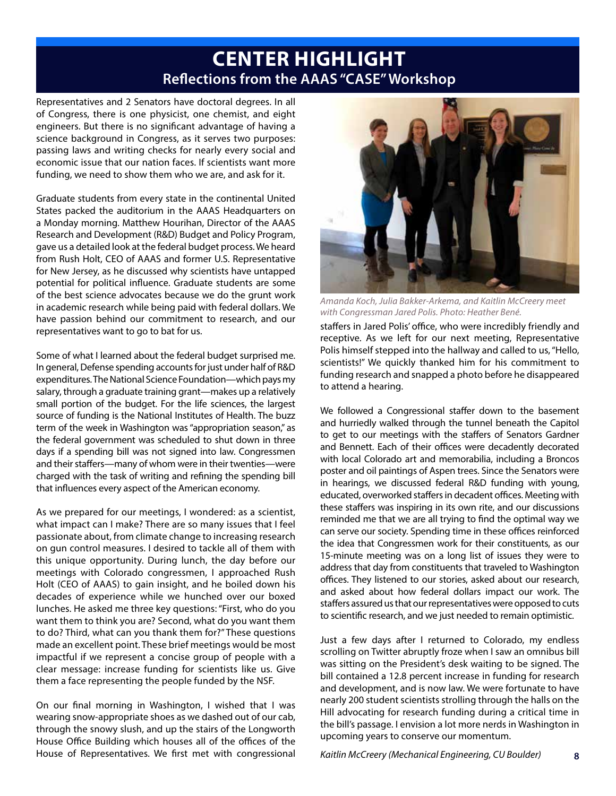## **CENTER HIGHLIGHT Reflections from the AAAS "CASE" Workshop**

Representatives and 2 Senators have doctoral degrees. In all of Congress, there is one physicist, one chemist, and eight engineers. But there is no significant advantage of having a science background in Congress, as it serves two purposes: passing laws and writing checks for nearly every social and economic issue that our nation faces. If scientists want more funding, we need to show them who we are, and ask for it.

Graduate students from every state in the continental United States packed the auditorium in the AAAS Headquarters on a Monday morning. Matthew Hourihan, Director of the AAAS Research and Development (R&D) Budget and Policy Program, gave us a detailed look at the federal budget process. We heard from Rush Holt, CEO of AAAS and former U.S. Representative for New Jersey, as he discussed why scientists have untapped potential for political influence. Graduate students are some of the best science advocates because we do the grunt work in academic research while being paid with federal dollars. We have passion behind our commitment to research, and our representatives want to go to bat for us.

Some of what I learned about the federal budget surprised me. In general, Defense spending accounts for just under half of R&D expenditures. The National Science Foundation—which pays my salary, through a graduate training grant—makes up a relatively small portion of the budget. For the life sciences, the largest source of funding is the National Institutes of Health. The buzz term of the week in Washington was "appropriation season," as the federal government was scheduled to shut down in three days if a spending bill was not signed into law. Congressmen and their staffers—many of whom were in their twenties—were charged with the task of writing and refining the spending bill that influences every aspect of the American economy.

As we prepared for our meetings, I wondered: as a scientist, what impact can I make? There are so many issues that I feel passionate about, from climate change to increasing research on gun control measures. I desired to tackle all of them with this unique opportunity. During lunch, the day before our meetings with Colorado congressmen, I approached Rush Holt (CEO of AAAS) to gain insight, and he boiled down his decades of experience while we hunched over our boxed lunches. He asked me three key questions: "First, who do you want them to think you are? Second, what do you want them to do? Third, what can you thank them for?" These questions made an excellent point. These brief meetings would be most impactful if we represent a concise group of people with a clear message: increase funding for scientists like us. Give them a face representing the people funded by the NSF.

On our final morning in Washington, I wished that I was wearing snow-appropriate shoes as we dashed out of our cab, through the snowy slush, and up the stairs of the Longworth House Office Building which houses all of the offices of the House of Representatives. We first met with congressional



*Amanda Koch, Julia Bakker-Arkema, and Kaitlin McCreery meet with Congressman Jared Polis. Photo: Heather Bené.*

staffers in Jared Polis' office, who were incredibly friendly and receptive. As we left for our next meeting, Representative Polis himself stepped into the hallway and called to us, "Hello, scientists!" We quickly thanked him for his commitment to funding research and snapped a photo before he disappeared to attend a hearing.

We followed a Congressional staffer down to the basement and hurriedly walked through the tunnel beneath the Capitol to get to our meetings with the staffers of Senators Gardner and Bennett. Each of their offices were decadently decorated with local Colorado art and memorabilia, including a Broncos poster and oil paintings of Aspen trees. Since the Senators were in hearings, we discussed federal R&D funding with young, educated, overworked staffers in decadent offices. Meeting with these staffers was inspiring in its own rite, and our discussions reminded me that we are all trying to find the optimal way we can serve our society. Spending time in these offices reinforced the idea that Congressmen work for their constituents, as our 15-minute meeting was on a long list of issues they were to address that day from constituents that traveled to Washington offices. They listened to our stories, asked about our research, and asked about how federal dollars impact our work. The staffers assured us that our representatives were opposed to cuts to scientific research, and we just needed to remain optimistic.

Just a few days after I returned to Colorado, my endless scrolling on Twitter abruptly froze when I saw an omnibus bill was sitting on the President's desk waiting to be signed. The bill contained a 12.8 percent increase in funding for research and development, and is now law. We were fortunate to have nearly 200 student scientists strolling through the halls on the Hill advocating for research funding during a critical time in the bill's passage. I envision a lot more nerds in Washington in upcoming years to conserve our momentum.

**8**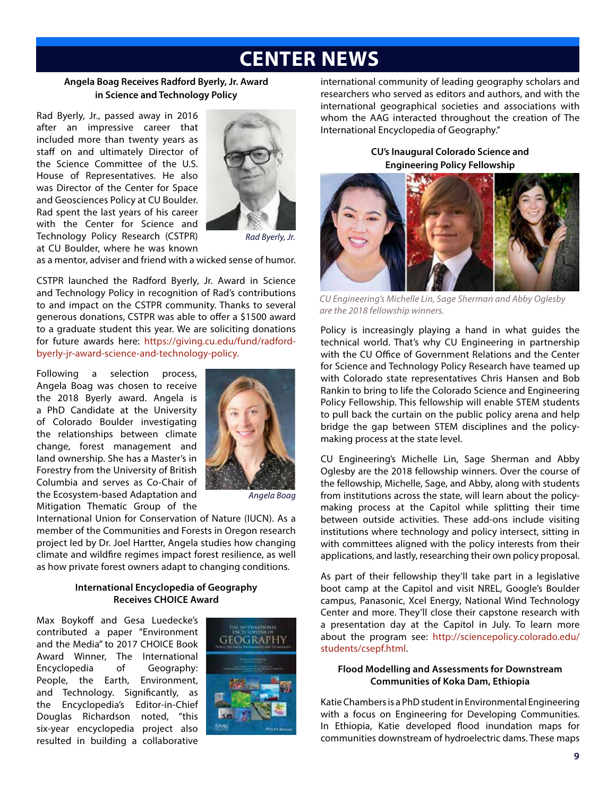## **CENTER NEWS**

### **Angela Boag Receives Radford Byerly, Jr. Award in Science and Technology Policy**

Rad Byerly, Jr., passed away in 2016 after an impressive career that included more than twenty years as staff on and ultimately Director of the Science Committee of the U.S. House of Representatives. He also was Director of the Center for Space and Geosciences Policy at CU Boulder. Rad spent the last years of his career with the Center for Science and Technology Policy Research (CSTPR) at CU Boulder, where he was known



*Rad Byerly, Jr.*

as a mentor, adviser and friend with a wicked sense of humor.

CSTPR launched the Radford Byerly, Jr. Award in Science and Technology Policy in recognition of Rad's contributions to and impact on the CSTPR community. Thanks to several generous donations, CSTPR was able to offer a \$1500 award to a graduate student this year. We are soliciting donations for future awards here: https://giving.cu.edu/fund/radfordbyerly-jr-award-science-and-technology-policy.

Following a selection process, Angela Boag was chosen to receive the 2018 Byerly award. Angela is a PhD Candidate at the University of Colorado Boulder investigating the relationships between climate change, forest management and land ownership. She has a Master's in Forestry from the University of British Columbia and serves as Co-Chair of the Ecosystem-based Adaptation and Mitigation Thematic Group of the



*Angela Boag*

International Union for Conservation of Nature (IUCN). As a member of the Communities and Forests in Oregon research project led by Dr. Joel Hartter, Angela studies how changing climate and wildfire regimes impact forest resilience, as well as how private forest owners adapt to changing conditions.

#### **International Encyclopedia of Geography Receives CHOICE Award**

Max Boykoff and Gesa Luedecke's contributed a paper "Environment and the Media" to 2017 CHOICE Book Award Winner, The International Encyclopedia of Geography: People, the Earth, Environment, and Technology. Significantly, as the Encyclopedia's Editor-in-Chief Douglas Richardson noted, "this six-year encyclopedia project also resulted in building a collaborative



international community of leading geography scholars and researchers who served as editors and authors, and with the international geographical societies and associations with whom the AAG interacted throughout the creation of The International Encyclopedia of Geography."

**CU's Inaugural Colorado Science and Engineering Policy Fellowship**



*CU Engineering's Michelle Lin, Sage Sherman and Abby Oglesby are the 2018 fellowship winners.*

Policy is increasingly playing a hand in what guides the technical world. That's why CU Engineering in partnership with the CU Office of Government Relations and the Center for Science and Technology Policy Research have teamed up with Colorado state representatives Chris Hansen and Bob Rankin to bring to life the Colorado Science and Engineering Policy Fellowship. This fellowship will enable STEM students to pull back the curtain on the public policy arena and help bridge the gap between STEM disciplines and the policymaking process at the state level.

CU Engineering's Michelle Lin, Sage Sherman and Abby Oglesby are the 2018 fellowship winners. Over the course of the fellowship, Michelle, Sage, and Abby, along with students from institutions across the state, will learn about the policymaking process at the Capitol while splitting their time between outside activities. These add-ons include visiting institutions where technology and policy intersect, sitting in with committees aligned with the policy interests from their applications, and lastly, researching their own policy proposal.

As part of their fellowship they'll take part in a legislative boot camp at the Capitol and visit NREL, Google's Boulder campus, Panasonic, Xcel Energy, National Wind Technology Center and more. They'll close their capstone research with a presentation day at the Capitol in July. To learn more about the program see: http://sciencepolicy.colorado.edu/ students/csepf.html.

#### **Flood Modelling and Assessments for Downstream Communities of Koka Dam, Ethiopia**

Katie Chambers is a PhD student in Environmental Engineering with a focus on Engineering for Developing Communities. In Ethiopia, Katie developed flood inundation maps for communities downstream of hydroelectric dams. These maps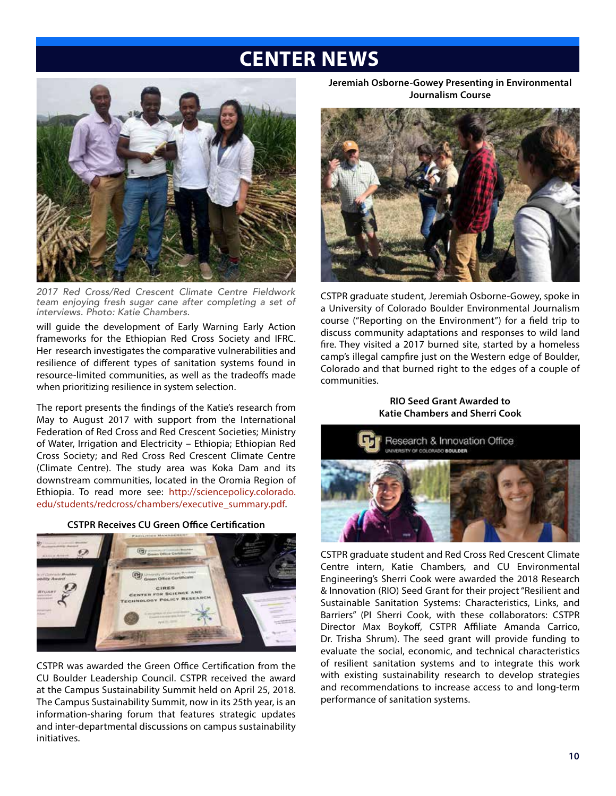## **CENTER NEWS**



*2017 Red Cross/Red Crescent Climate Centre Fieldwork team enjoying fresh sugar cane after completing a set of interviews. Photo: Katie Chambers.*

will guide the development of Early Warning Early Action frameworks for the Ethiopian Red Cross Society and IFRC. Her research investigates the comparative vulnerabilities and resilience of different types of sanitation systems found in resource-limited communities, as well as the tradeoffs made when prioritizing resilience in system selection.

The report presents the findings of the Katie's research from May to August 2017 with support from the International Federation of Red Cross and Red Crescent Societies; Ministry of Water, Irrigation and Electricity – Ethiopia; Ethiopian Red Cross Society; and Red Cross Red Crescent Climate Centre (Climate Centre). The study area was Koka Dam and its downstream communities, located in the Oromia Region of Ethiopia. To read more see: http://sciencepolicy.colorado. edu/students/redcross/chambers/executive\_summary.pdf.





CSTPR was awarded the Green Office Certification from the CU Boulder Leadership Council. CSTPR received the award at the Campus Sustainability Summit held on April 25, 2018. The Campus Sustainability Summit, now in its 25th year, is an information-sharing forum that features strategic updates and inter-departmental discussions on campus sustainability initiatives.

**Jeremiah Osborne-Gowey Presenting in Environmental Journalism Course**



CSTPR graduate student, Jeremiah Osborne-Gowey, spoke in a University of Colorado Boulder Environmental Journalism course ("Reporting on the Environment") for a field trip to discuss community adaptations and responses to wild land fire. They visited a 2017 burned site, started by a homeless camp's illegal campfire just on the Western edge of Boulder, Colorado and that burned right to the edges of a couple of communities.

> **RIO Seed Grant Awarded to Katie Chambers and Sherri Cook**



CSTPR graduate student and Red Cross Red Crescent Climate Centre intern, Katie Chambers, and CU Environmental Engineering's Sherri Cook were awarded the 2018 Research & Innovation (RIO) Seed Grant for their project "Resilient and Sustainable Sanitation Systems: Characteristics, Links, and Barriers" (PI Sherri Cook, with these collaborators: CSTPR Director Max Boykoff, CSTPR Affiliate Amanda Carrico, Dr. Trisha Shrum). The seed grant will provide funding to evaluate the social, economic, and technical characteristics of resilient sanitation systems and to integrate this work with existing sustainability research to develop strategies and recommendations to increase access to and long-term performance of sanitation systems.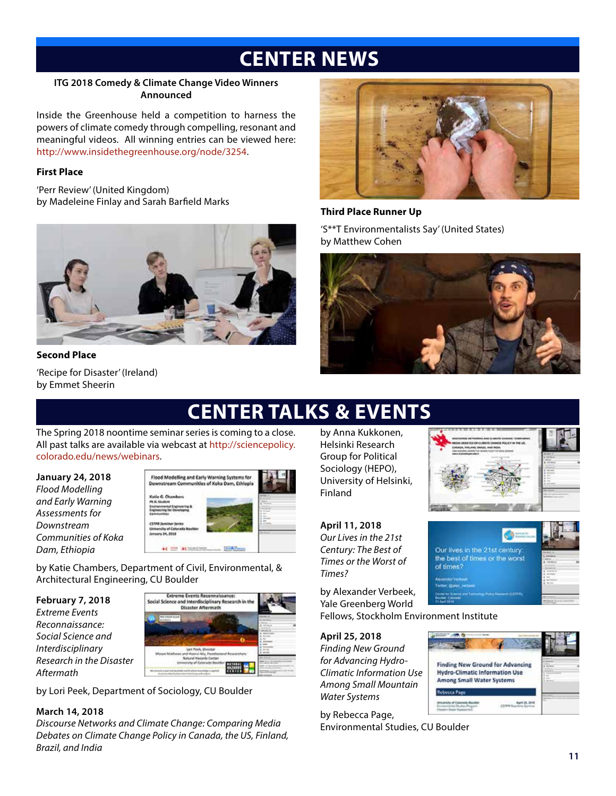# **CENTER NEWS**

### **ITG 2018 Comedy & Climate Change Video Winners Announced**

Inside the Greenhouse held a competition to harness the powers of climate comedy through compelling, resonant and meaningful videos. All winning entries can be viewed here: http://www.insidethegreenhouse.org/node/3254.

### **First Place**

'Perr Review' (United Kingdom) by Madeleine Finlay and Sarah Barfield Marks



### **Second Place**

'Recipe for Disaster' (Ireland) by Emmet Sheerin



### **Third Place Runner Up**

'S\*\*T Environmentalists Say' (United States) by Matthew Cohen



# **CENTER TALKS & EVENTS**

The Spring 2018 noontime seminar series is coming to a close. All past talks are available via webcast at http://sciencepolicy. colorado.edu/news/webinars.

**January 24, 2018** *Flood Modelling and Early Warning Assessments for Downstream Communities of Koka Dam, Ethiopia*



by Katie Chambers, Department of Civil, Environmental, & Architectural Engineering, CU Boulder

**February 7, 2018** *Extreme Events Reconnaissance: Social Science and Interdisciplinary Research in the Disaster Aftermath*



by Lori Peek, Department of Sociology, CU Boulder

### **March 14, 2018**

*Discourse Networks and Climate Change: Comparing Media Debates on Climate Change Policy in Canada, the US, Finland, Brazil, and India*

by Anna Kukkonen, Helsinki Research Group for Political Sociology (HEPO), University of Helsinki, Finland

**April 11, 2018** *Our Lives in the 21st Century: The Best of Times or the Worst of* 

*Times?*

Our lives in the 21st century the best of times or the worst of times?

by Alexander Verbeek, Yale Greenberg World Fellows, Stockholm Environment Institute

**April 25, 2018** *Finding New Ground for Advancing Hydro-Climatic Information Use Among Small Mountain Water Systems*

by Rebecca Page, Environmental Studies, CU Boulder

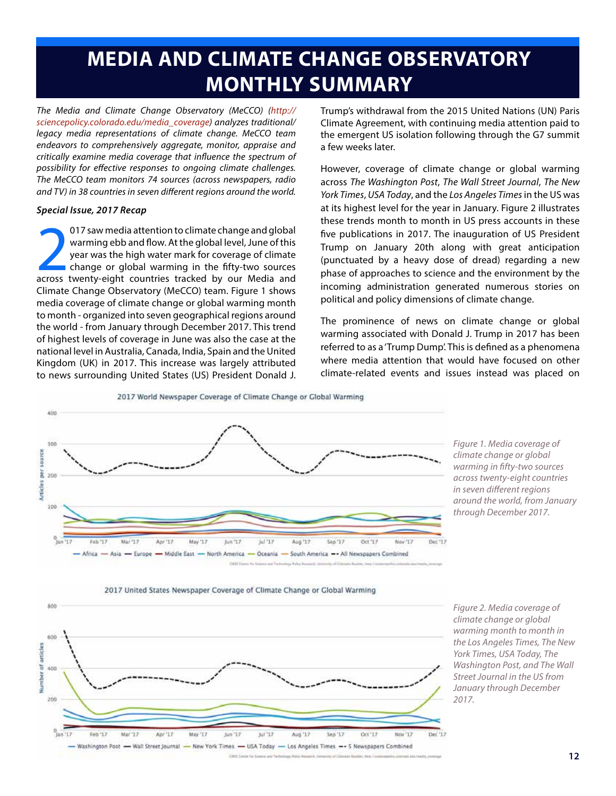# **MEDIA AND CLIMATE CHANGE OBSERVATORY MONTHLY SUMMARY**

*The Media and Climate Change Observatory (MeCCO) (http:// sciencepolicy.colorado.edu/media\_coverage) analyzes traditional/ legacy media representations of climate change. MeCCO team endeavors to comprehensively aggregate, monitor, appraise and critically examine media coverage that influence the spectrum of possibility for effective responses to ongoing climate challenges. The MeCCO team monitors 74 sources (across newspapers, radio and TV) in 38 countries in seven different regions around the world.*

#### *Special Issue, 2017 Recap*

017 saw media attention to climate change and global<br>warming ebb and flow. At the global level, June of this<br>year was the high water mark for coverage of climate<br>change or global warming in the fifty-two sources<br>across twe 017 saw media attention to climate change and global warming ebb and flow. At the global level, June of this year was the high water mark for coverage of climate change or global warming in the fifty-two sources Climate Change Observatory (MeCCO) team. Figure 1 shows media coverage of climate change or global warming month to month - organized into seven geographical regions around the world - from January through December 2017. This trend of highest levels of coverage in June was also the case at the national level in Australia, Canada, India, Spain and the United Kingdom (UK) in 2017. This increase was largely attributed to news surrounding United States (US) President Donald J.

Trump's withdrawal from the 2015 United Nations (UN) Paris Climate Agreement, with continuing media attention paid to the emergent US isolation following through the G7 summit a few weeks later.

However, coverage of climate change or global warming across *The Washington Post*, *The Wall Street Journal*, *The New York Times*, *USA Today*, and the *Los Angeles Times* in the US was at its highest level for the year in January. Figure 2 illustrates these trends month to month in US press accounts in these five publications in 2017. The inauguration of US President Trump on January 20th along with great anticipation (punctuated by a heavy dose of dread) regarding a new phase of approaches to science and the environment by the incoming administration generated numerous stories on political and policy dimensions of climate change.

The prominence of news on climate change or global warming associated with Donald J. Trump in 2017 has been referred to as a 'Trump Dump'. This is defined as a phenomena where media attention that would have focused on other climate-related events and issues instead was placed on

2017 World Newspaper Coverage of Climate Change or Global Warming



*Figure 1. Media coverage of climate change or global warming in fifty-two sources across twenty-eight countries in seven different regions around the world, from January through December 2017.*





*Figure 2. Media coverage of climate change or global warming month to month in the Los Angeles Times, The New York Times, USA Today, The Washington Post, and The Wall Street Journal in the US from January through December 2017.*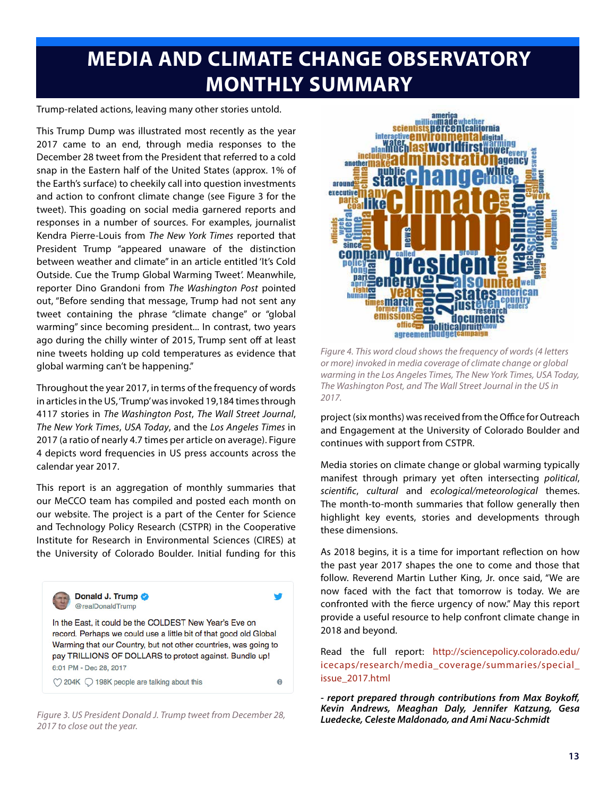# **MEDIA AND CLIMATE CHANGE OBSERVATORY MONTHLY SUMMARY**

Trump-related actions, leaving many other stories untold.

This Trump Dump was illustrated most recently as the year 2017 came to an end, through media responses to the December 28 tweet from the President that referred to a cold snap in the Eastern half of the United States (approx. 1% of the Earth's surface) to cheekily call into question investments and action to confront climate change (see Figure 3 for the tweet). This goading on social media garnered reports and responses in a number of sources. For examples, journalist Kendra Pierre-Louis from *The New York Times* reported that President Trump "appeared unaware of the distinction between weather and climate" in an article entitled 'It's Cold Outside. Cue the Trump Global Warming Tweet'. Meanwhile, reporter Dino Grandoni from *The Washington Post* pointed out, "Before sending that message, Trump had not sent any tweet containing the phrase "climate change" or "global warming" since becoming president... In contrast, two years ago during the chilly winter of 2015, Trump sent off at least nine tweets holding up cold temperatures as evidence that global warming can't be happening."

Throughout the year 2017, in terms of the frequency of words in articles in the US, 'Trump' was invoked 19,184 times through 4117 stories in *The Washington Post*, *The Wall Street Journal*, *The New York Times*, *USA Today*, and the *Los Angeles Times* in 2017 (a ratio of nearly 4.7 times per article on average). Figure 4 depicts word frequencies in US press accounts across the calendar year 2017.

This report is an aggregation of monthly summaries that our MeCCO team has compiled and posted each month on our website. The project is a part of the Center for Science and Technology Policy Research (CSTPR) in the Cooperative Institute for Research in Environmental Sciences (CIRES) at the University of Colorado Boulder. Initial funding for this



*Figure 3. US President Donald J. Trump tweet from December 28, 2017 to close out the year.*



*Figure 4. This word cloud shows the frequency of words (4 letters or more) invoked in media coverage of climate change or global warming in the Los Angeles Times, The New York Times, USA Today, The Washington Post, and The Wall Street Journal in the US in 2017.*

project (six months) was received from the Office for Outreach and Engagement at the University of Colorado Boulder and continues with support from CSTPR.

Media stories on climate change or global warming typically manifest through primary yet often intersecting *political*, *scientific*, *cultural* and *ecological/meteorological* themes. The month-to-month summaries that follow generally then highlight key events, stories and developments through these dimensions.

As 2018 begins, it is a time for important reflection on how the past year 2017 shapes the one to come and those that follow. Reverend Martin Luther King, Jr. once said, "We are now faced with the fact that tomorrow is today. We are confronted with the fierce urgency of now." May this report provide a useful resource to help confront climate change in 2018 and beyond.

Read the full report: http://sciencepolicy.colorado.edu/ icecaps/research/media\_coverage/summaries/special\_ issue\_2017.html

*- report prepared through contributions from Max Boykoff, Kevin Andrews, Meaghan Daly, Jennifer Katzung, Gesa Luedecke, Celeste Maldonado, and Ami Nacu-Schmidt*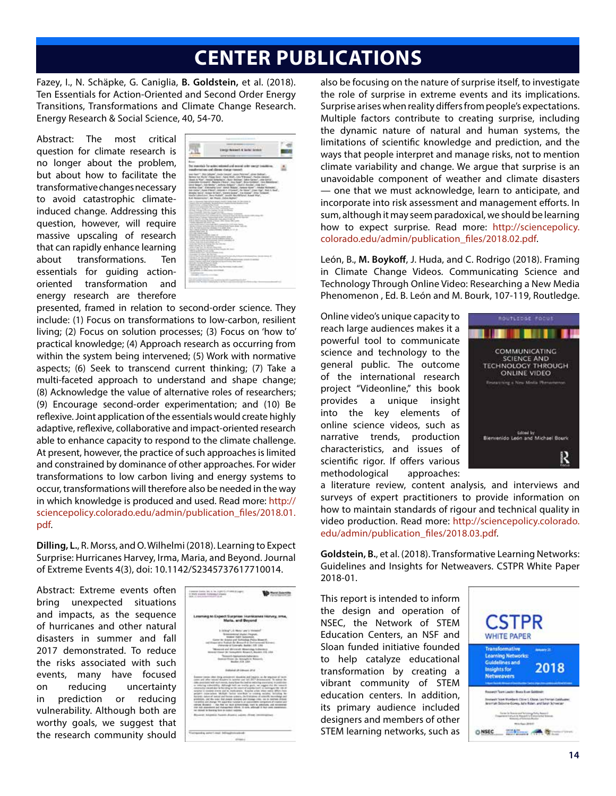## **CENTER PUBLICATIONS**

Fazey, I., N. Schäpke, G. Caniglia, **B. Goldstein,** et al. (2018). Ten Essentials for Action-Oriented and Second Order Energy Transitions, Transformations and Climate Change Research. Energy Research & Social Science, 40, 54-70.

Abstract: The most critical question for climate research is no longer about the problem, but about how to facilitate the transformative changes necessary to avoid catastrophic climateinduced change. Addressing this question, however, will require massive upscaling of research that can rapidly enhance learning about transformations. Ten essentials for guiding actionoriented transformation and energy research are therefore

|                                                                                                                                                                                                              | <b>ATTPLETS</b><br>Linear Sewert & Solar lands                                                                                                                                                                                                                                                                                                                                                                                                                                                                                                                                                                                                                                                                            |          |
|--------------------------------------------------------------------------------------------------------------------------------------------------------------------------------------------------------------|---------------------------------------------------------------------------------------------------------------------------------------------------------------------------------------------------------------------------------------------------------------------------------------------------------------------------------------------------------------------------------------------------------------------------------------------------------------------------------------------------------------------------------------------------------------------------------------------------------------------------------------------------------------------------------------------------------------------------|----------|
| -                                                                                                                                                                                                            |                                                                                                                                                                                                                                                                                                                                                                                                                                                                                                                                                                                                                                                                                                                           |          |
|                                                                                                                                                                                                              | The matrix's for acting minimal and terminal teder manner tran<br>randermates: and climax status research                                                                                                                                                                                                                                                                                                                                                                                                                                                                                                                                                                                                                 |          |
|                                                                                                                                                                                                              | a Keel", Bisi Madel, Indo Legiel, Anio Normal, Ahia (Milae),<br>better the Marie (Hillan Seco), have brick, July Witnesser, Packet (Minne).<br>Aust-A "Ker", Harold Artesfacto", Butly Stickael, Gilto Santor", Link Gover,<br>(escola divisant) . Manute / Size) , Los fage" , Sico Exterp . (six Massis<br>Unit Beach, Inte Neder", lethose thraces", the E.L. Routes, José Inc.",<br>In the D.A. Decade Line, Smit Stage, Januar Keer, Joseph Nichols,<br>be only , has there, seven a travel. At less , two right but a bad.<br>maske here! riceca times!, scene boost, I a drame", Ima Toleced.<br>trade calculators, dans Hallah, seattle das Giffany), Romal War,<br>E.G. Nations sure L. Mit Maude, Salvay Madean |          |
| any Far at Contacts, Australia                                                                                                                                                                               | them to information results for released directly in technical data from contact of                                                                                                                                                                                                                                                                                                                                                                                                                                                                                                                                                                                                                                       |          |
| warrenteen pressure when book<br>the channel is a three and artist regi-                                                                                                                                     | between the company country. The company of a streamed<br>bears advertising to relate that will will be<br>which his a constraint large with formers.<br>to account its present our Agreement to                                                                                                                                                                                                                                                                                                                                                                                                                                                                                                                          |          |
| home absence of the over the                                                                                                                                                                                 | Service Photographical and such a con-ordered from at the counterparty com-<br>Monitor of taking 3 deep had at the ratio close decay to having<br><b>William</b><br>twith the AD Chicago, Shaw and Chicago and Child 10.<br>the a determinance former change after three with come.                                                                                                                                                                                                                                                                                                                                                                                                                                       |          |
| Chicago and print of the Con-                                                                                                                                                                                | after release company of any company state is a presented that it is the mode-<br>the art is comedy the financial state of the second company of the state and com-<br>214-141-142-2-accountance distances 1-1-april 2-apr<br>but colour at work or tasks information products and side                                                                                                                                                                                                                                                                                                                                                                                                                                   |          |
| <b>STANDARD TO AN ARTICLE AND IN</b><br>with this close come real at third<br>what Just risk & printed at using                                                                                              | prize thirds lied initials electe constitutions at<br>had that to hold to cit in primate. One is convenient of                                                                                                                                                                                                                                                                                                                                                                                                                                                                                                                                                                                                            |          |
| better help. There was this course they will a control that<br>and the control of the competition<br>the charter in Auto has not<br>we is a party to an active<br>the company's state of the company's state | been at all the dimension terminal and these changes of                                                                                                                                                                                                                                                                                                                                                                                                                                                                                                                                                                                                                                                                   |          |
| Country of Carol Mc Forms                                                                                                                                                                                    | the air face is a simulation of agree that street he<br>product on the strain of themselves can at<br><b>RISK WITH CUSTOM FUND NAMES AND RANGE CO.</b><br>the state of the state of the state of the state and the state and the first of<br>.                                                                                                                                                                                                                                                                                                                                                                                                                                                                            | $-1.444$ |
|                                                                                                                                                                                                              |                                                                                                                                                                                                                                                                                                                                                                                                                                                                                                                                                                                                                                                                                                                           |          |
| card in the Art & Eds. and her<br>and company the case of<br>to service, is obtained as<br><b>Contract Contract Contract</b>                                                                                 | the attack country to the country and the country of<br><b>Chinese</b>                                                                                                                                                                                                                                                                                                                                                                                                                                                                                                                                                                                                                                                    |          |
| <b>COMPANY</b><br>College Street and College                                                                                                                                                                 | <b>CONTRACTOR</b><br>and a state world at the product of the company's detailed and an appropriate simple of the                                                                                                                                                                                                                                                                                                                                                                                                                                                                                                                                                                                                          |          |

presented, framed in relation to second-order science. They include: (1) Focus on transformations to low-carbon, resilient living; (2) Focus on solution processes; (3) Focus on 'how to' practical knowledge; (4) Approach research as occurring from within the system being intervened; (5) Work with normative aspects; (6) Seek to transcend current thinking; (7) Take a multi-faceted approach to understand and shape change; (8) Acknowledge the value of alternative roles of researchers; (9) Encourage second-order experimentation; and (10) Be reflexive. Joint application of the essentials would create highly adaptive, reflexive, collaborative and impact-oriented research able to enhance capacity to respond to the climate challenge. At present, however, the practice of such approaches is limited and constrained by dominance of other approaches. For wider transformations to low carbon living and energy systems to occur, transformations will therefore also be needed in the way in which knowledge is produced and used. Read more: http:// sciencepolicy.colorado.edu/admin/publication\_files/2018.01. pdf.

**Dilling, L.**, R. Morss, and O. Wilhelmi (2018). Learning to Expect Surprise: Hurricanes Harvey, Irma, Maria, and Beyond. Journal of Extreme Events 4(3), doi: 10.1142/S2345737617710014.

Abstract: Extreme events often bring unexpected situations and impacts, as the sequence of hurricanes and other natural disasters in summer and fall 2017 demonstrated. To reduce the risks associated with such events, many have focused on reducing uncertainty in prediction or reducing vulnerability. Although both are worthy goals, we suggest that the research community should



also be focusing on the nature of surprise itself, to investigate the role of surprise in extreme events and its implications. Surprise arises when reality differs from people's expectations. Multiple factors contribute to creating surprise, including the dynamic nature of natural and human systems, the limitations of scientific knowledge and prediction, and the ways that people interpret and manage risks, not to mention climate variability and change. We argue that surprise is an unavoidable component of weather and climate disasters — one that we must acknowledge, learn to anticipate, and incorporate into risk assessment and management efforts. In sum, although it may seem paradoxical, we should be learning how to expect surprise. Read more: http://sciencepolicy. colorado.edu/admin/publication\_files/2018.02.pdf.

León, B., **M. Boykoff**, J. Huda, and C. Rodrigo (2018). Framing in Climate Change Videos. Communicating Science and Technology Through Online Video: Researching a New Media Phenomenon , Ed. B. León and M. Bourk, 107-119, Routledge.

Online video's unique capacity to reach large audiences makes it a powerful tool to communicate science and technology to the general public. The outcome of the international research project "Videonline," this book provides a unique insight into the key elements of online science videos, such as narrative trends, production characteristics, and issues of scientific rigor. If offers various methodological approaches:



a literature review, content analysis, and interviews and surveys of expert practitioners to provide information on how to maintain standards of rigour and technical quality in video production. Read more: http://sciencepolicy.colorado. edu/admin/publication\_files/2018.03.pdf.

**Goldstein, B.**, et al. (2018). Transformative Learning Networks: Guidelines and Insights for Netweavers. CSTPR White Paper 2018-01.

This report is intended to inform the design and operation of NSEC, the Network of STEM Education Centers, an NSF and Sloan funded initiative founded to help catalyze educational transformation by creating a vibrant community of STEM education centers. In addition, its primary audience included designers and members of other STEM learning networks, such as

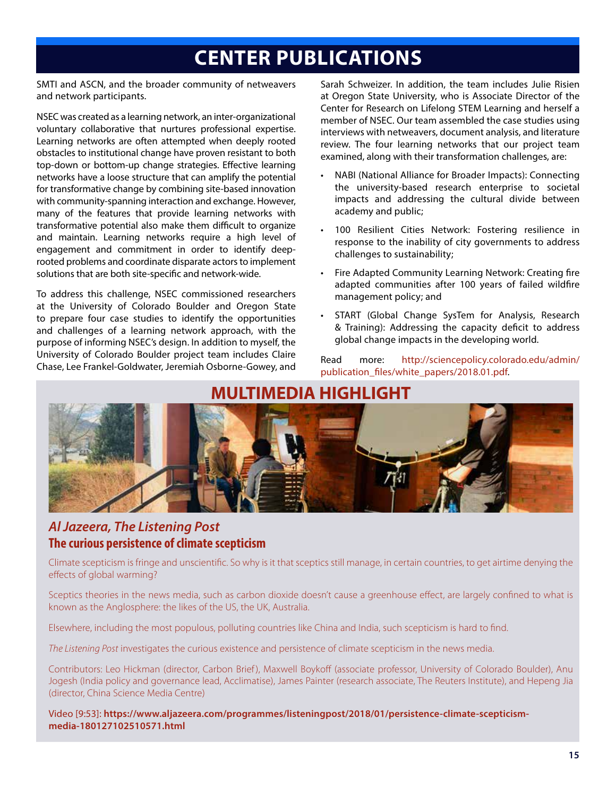# **CENTER PUBLICATIONS**

SMTI and ASCN, and the broader community of netweavers and network participants.

NSEC was created as a learning network, an inter-organizational voluntary collaborative that nurtures professional expertise. Learning networks are often attempted when deeply rooted obstacles to institutional change have proven resistant to both top-down or bottom-up change strategies. Effective learning networks have a loose structure that can amplify the potential for transformative change by combining site-based innovation with community-spanning interaction and exchange. However, many of the features that provide learning networks with transformative potential also make them difficult to organize and maintain. Learning networks require a high level of engagement and commitment in order to identify deeprooted problems and coordinate disparate actors to implement solutions that are both site-specific and network-wide.

To address this challenge, NSEC commissioned researchers at the University of Colorado Boulder and Oregon State to prepare four case studies to identify the opportunities and challenges of a learning network approach, with the purpose of informing NSEC's design. In addition to myself, the University of Colorado Boulder project team includes Claire Chase, Lee Frankel-Goldwater, Jeremiah Osborne-Gowey, and

Sarah Schweizer. In addition, the team includes Julie Risien at Oregon State University, who is Associate Director of the Center for Research on Lifelong STEM Learning and herself a member of NSEC. Our team assembled the case studies using interviews with netweavers, document analysis, and literature review. The four learning networks that our project team examined, along with their transformation challenges, are:

- NABI (National Alliance for Broader Impacts): Connecting the university-based research enterprise to societal impacts and addressing the cultural divide between academy and public;
- 100 Resilient Cities Network: Fostering resilience in response to the inability of city governments to address challenges to sustainability;
- Fire Adapted Community Learning Network: Creating fire adapted communities after 100 years of failed wildfire management policy; and
- START (Global Change SysTem for Analysis, Research & Training): Addressing the capacity deficit to address global change impacts in the developing world.

Read more: http://sciencepolicy.colorado.edu/admin/ publication\_files/white\_papers/2018.01.pdf.

## **MULTIMEDIA HIGHLIGHT**



### *Al Jazeera, The Listening Post* **The curious persistence of climate scepticism**

Climate scepticism is fringe and unscientific. So why is it that sceptics still manage, in certain countries, to get airtime denying the effects of global warming?

Sceptics theories in the news media, such as carbon dioxide doesn't cause a greenhouse effect, are largely confined to what is known as the Anglosphere: the likes of the US, the UK, Australia.

Elsewhere, including the most populous, polluting countries like China and India, such scepticism is hard to find.

*The Listening Post* investigates the curious existence and persistence of climate scepticism in the news media.

Contributors: Leo Hickman (director, Carbon Brief), Maxwell Boykoff (associate professor, University of Colorado Boulder), Anu Jogesh (India policy and governance lead, Acclimatise), James Painter (research associate, The Reuters Institute), and Hepeng Jia (director, China Science Media Centre)

Video [9:53]: **https://www.aljazeera.com/programmes/listeningpost/2018/01/persistence-climate-scepticismmedia-180127102510571.html**